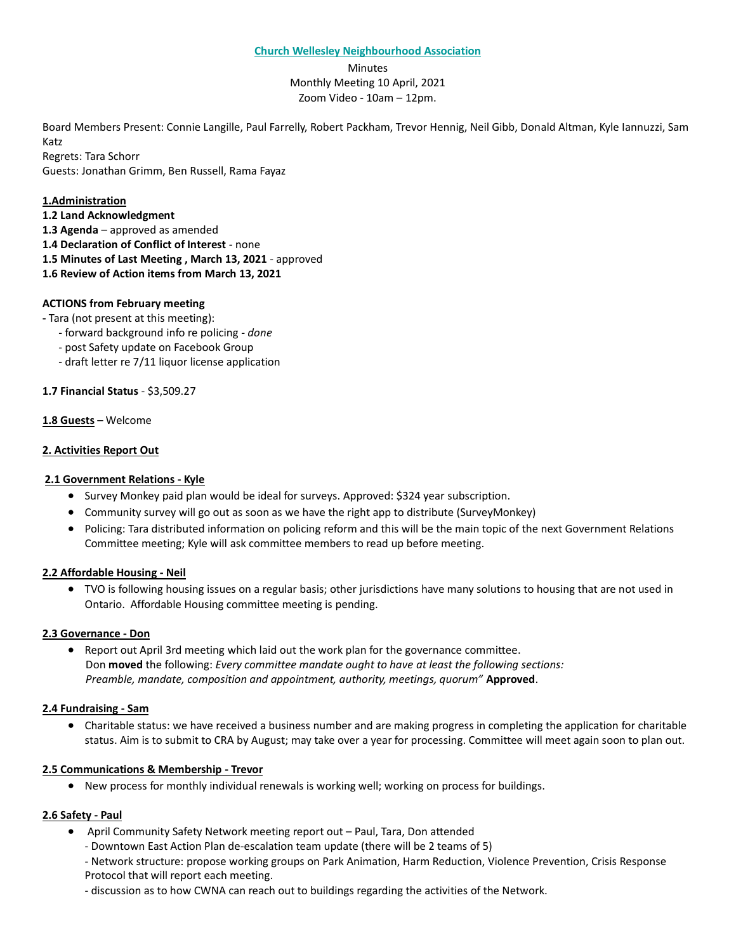#### **Church Wellesley Neighbourhood Association**

**Minutes** Monthly Meeting 10 April, 2021 Zoom Video - 10am – 12pm.

Board Members Present: Connie Langille, Paul Farrelly, Robert Packham, Trevor Hennig, Neil Gibb, Donald Altman, Kyle Iannuzzi, Sam Katz

Regrets: Tara Schorr Guests: Jonathan Grimm, Ben Russell, Rama Fayaz

## **1.Administration**

- **1.2 Land Acknowledgment**
- **1.3 Agenda** approved as amended
- **1.4 Declaration of Conflict of Interest** none
- **1.5 Minutes of Last Meeting , March 13, 2021** approved
- **1.6 Review of Action items from March 13, 2021**

### **ACTIONS from February meeting**

**-** Tara (not present at this meeting):

- forward background info re policing *- done*
- post Safety update on Facebook Group
- draft letter re 7/11 liquor license application

### **1.7 Financial Status** - \$3,509.27

### **1.8 Guests** – Welcome

# **2. Activities Report Out**

## **2.1 Government Relations - Kyle**

- Survey Monkey paid plan would be ideal for surveys. Approved: \$324 year subscription.
- Community survey will go out as soon as we have the right app to distribute (SurveyMonkey)
- Policing: Tara distributed information on policing reform and this will be the main topic of the next Government Relations Committee meeting; Kyle will ask committee members to read up before meeting.

### **2.2 Affordable Housing - Neil**

• TVO is following housing issues on a regular basis; other jurisdictions have many solutions to housing that are not used in Ontario. Affordable Housing committee meeting is pending.

### **2.3 Governance - Don**

• Report out April 3rd meeting which laid out the work plan for the governance committee. Don **moved** the following: *Every committee mandate ought to have at least the following sections: Preamble, mandate, composition and appointment, authority, meetings, quorum"* **Approved**.

### **2.4 Fundraising - Sam**

• Charitable status: we have received a business number and are making progress in completing the application for charitable status. Aim is to submit to CRA by August; may take over a year for processing. Committee will meet again soon to plan out.

### **2.5 Communications & Membership - Trevor**

• New process for monthly individual renewals is working well; working on process for buildings.

### **2.6 Safety - Paul**

- April Community Safety Network meeting report out Paul, Tara, Don attended
	- Downtown East Action Plan de-escalation team update (there will be 2 teams of 5)
	- Network structure: propose working groups on Park Animation, Harm Reduction, Violence Prevention, Crisis Response Protocol that will report each meeting.
	- discussion as to how CWNA can reach out to buildings regarding the activities of the Network.